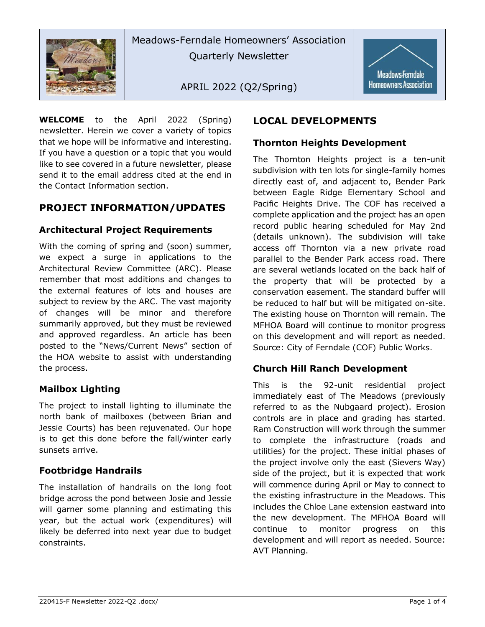

Meadows-Ferndale Homeowners' Association Quarterly Newsletter

APRIL 2022 (Q2/Spring)



**WELCOME** to the April 2022 (Spring) newsletter. Herein we cover a variety of topics that we hope will be informative and interesting. If you have a question or a topic that you would like to see covered in a future newsletter, please send it to the email address cited at the end in the Contact Information section.

## **PROJECT INFORMATION/UPDATES**

#### **Architectural Project Requirements**

With the coming of spring and (soon) summer, we expect a surge in applications to the Architectural Review Committee (ARC). Please remember that most additions and changes to the external features of lots and houses are subject to review by the ARC. The vast majority of changes will be minor and therefore summarily approved, but they must be reviewed and approved regardless. An article has been posted to the "News/Current News" section of the HOA website to assist with understanding the process.

#### **Mailbox Lighting**

The project to install lighting to illuminate the north bank of mailboxes (between Brian and Jessie Courts) has been rejuvenated. Our hope is to get this done before the fall/winter early sunsets arrive.

#### **Footbridge Handrails**

The installation of handrails on the long foot bridge across the pond between Josie and Jessie will garner some planning and estimating this year, but the actual work (expenditures) will likely be deferred into next year due to budget constraints.

# **LOCAL DEVELOPMENTS**

#### **Thornton Heights Development**

The Thornton Heights project is a ten-unit subdivision with ten lots for single-family homes directly east of, and adjacent to, Bender Park between Eagle Ridge Elementary School and Pacific Heights Drive. The COF has received a complete application and the project has an open record public hearing scheduled for May 2nd (details unknown). The subdivision will take access off Thornton via a new private road parallel to the Bender Park access road. There are several wetlands located on the back half of the property that will be protected by a conservation easement. The standard buffer will be reduced to half but will be mitigated on-site. The existing house on Thornton will remain. The MFHOA Board will continue to monitor progress on this development and will report as needed. Source: City of Ferndale (COF) Public Works.

#### **Church Hill Ranch Development**

This is the 92-unit residential project immediately east of The Meadows (previously referred to as the Nubgaard project). Erosion controls are in place and grading has started. Ram Construction will work through the summer to complete the infrastructure (roads and utilities) for the project. These initial phases of the project involve only the east (Sievers Way) side of the project, but it is expected that work will commence during April or May to connect to the existing infrastructure in the Meadows. This includes the Chloe Lane extension eastward into the new development. The MFHOA Board will continue to monitor progress on this development and will report as needed. Source: AVT Planning.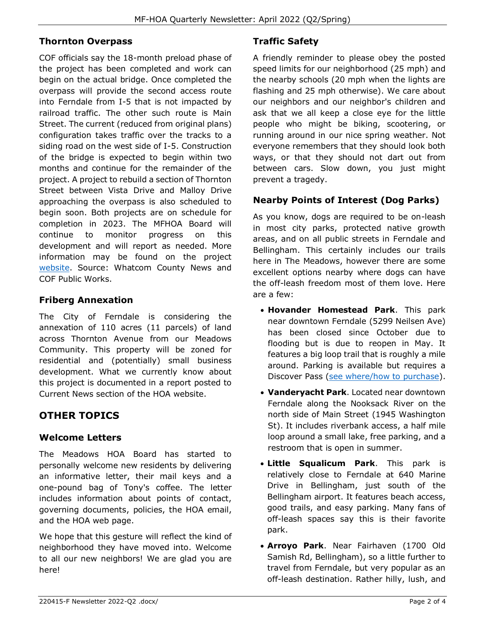#### **Thornton Overpass**

COF officials say the 18-month preload phase of the project has been completed and work can begin on the actual bridge. Once completed the overpass will provide the second access route into Ferndale from I-5 that is not impacted by railroad traffic. The other such route is Main Street. The current (reduced from original plans) configuration takes traffic over the tracks to a siding road on the west side of I-5. Construction of the bridge is expected to begin within two months and continue for the remainder of the project. A project to rebuild a section of Thornton Street between Vista Drive and Malloy Drive approaching the overpass is also scheduled to begin soon. Both projects are on schedule for completion in 2023. The MFHOA Board will continue to monitor progress on this development and will report as needed. More information may be found on the project [website.](https://www.cityofferndale.org/public-works-department/capital-projects/thornton-railroad-overcrossing-project/) Source: Whatcom County News and COF Public Works.

## **Friberg Annexation**

The City of Ferndale is considering the annexation of 110 acres (11 parcels) of land across Thornton Avenue from our Meadows Community. This property will be zoned for residential and (potentially) small business development. What we currently know about this project is documented in a report posted to Current News section of the HOA website.

# **OTHER TOPICS**

#### **Welcome Letters**

The Meadows HOA Board has started to personally welcome new residents by delivering an informative letter, their mail keys and a one-pound bag of Tony's coffee. The letter includes information about points of contact, governing documents, policies, the HOA email, and the HOA web page.

We hope that this gesture will reflect the kind of neighborhood they have moved into. Welcome to all our new neighbors! We are glad you are here!

# **Traffic Safety**

A friendly reminder to please obey the posted speed limits for our neighborhood (25 mph) and the nearby schools (20 mph when the lights are flashing and 25 mph otherwise). We care about our neighbors and our neighbor's children and ask that we all keep a close eye for the little people who might be biking, scootering, or running around in our nice spring weather. Not everyone remembers that they should look both ways, or that they should not dart out from between cars. Slow down, you just might prevent a tragedy.

## **Nearby Points of Interest (Dog Parks)**

As you know, dogs are required to be on-leash in most city parks, protected native growth areas, and on all public streets in Ferndale and Bellingham. This certainly includes our trails here in The Meadows, however there are some excellent options nearby where dogs can have the off-leash freedom most of them love. Here are a few:

- **Hovander Homestead Park**. This park near downtown Ferndale (5299 Neilsen Ave) has been closed since October due to flooding but is due to reopen in May. It features a big loop trail that is roughly a mile around. Parking is available but requires a Discover Pass [\(see where/how to purchase\)](https://www.discoverpass.wa.gov/133/Where-to-Buy#:~:text=The%20Discover%20Pass%20may%20be%20purchased%3A%20Online%20In,licenses%20are%20sold%20By%20phone%20by%20calling%20866-320-9933).
- **Vanderyacht Park**. Located near downtown Ferndale along the Nooksack River on the north side of Main Street (1945 Washington St). It includes riverbank access, a half mile loop around a small lake, free parking, and a restroom that is open in summer.
- **Little Squalicum Park**. This park is relatively close to Ferndale at 640 Marine Drive in Bellingham, just south of the Bellingham airport. It features beach access, good trails, and easy parking. Many fans of off-leash spaces say this is their favorite park.
- **Arroyo Park**. Near Fairhaven (1700 Old Samish Rd, Bellingham), so a little further to travel from Ferndale, but very popular as an off-leash destination. Rather hilly, lush, and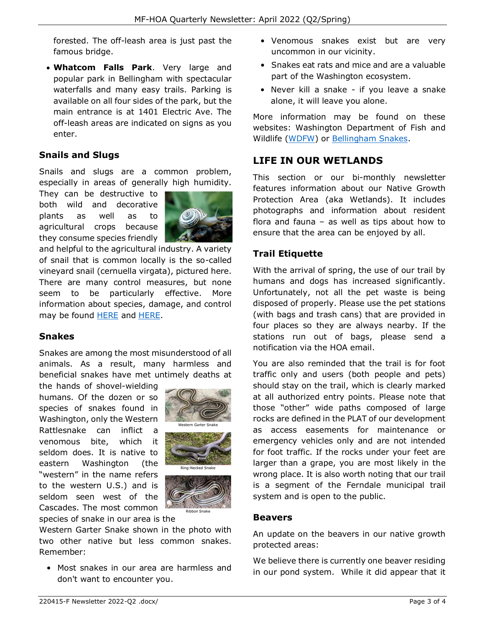forested. The off-leash area is just past the famous bridge.

• **Whatcom Falls Park**. Very large and popular park in Bellingham with spectacular waterfalls and many easy trails. Parking is available on all four sides of the park, but the main entrance is at 1401 Electric Ave. The off-leash areas are indicated on signs as you enter.

#### **Snails and Slugs**

Snails and slugs are a common problem, especially in areas of generally high humidity.

They can be destructive to both wild and decorative plants as well as to agricultural crops because they consume species friendly



and helpful to the agricultural industry. A variety of snail that is common locally is the so-called vineyard snail (cernuella virgata), pictured here. There are many control measures, but none seem to be particularly effective. More information about species, damage, and control may be found [HERE](https://extension.psu.edu/how-to-control-slugs#:~:text=Metaldehyde%20%2D%20a%20pelleted%20pesticide%20used,only%20as%20a%20last%20resort) and [HERE.](http://ipm.ucanr.edu/PMG/PESTNOTES/pn7427.html)

#### **Snakes**

Snakes are among the most misunderstood of all animals. As a result, many harmless and beneficial snakes have met untimely deaths at

the hands of shovel-wielding humans. Of the dozen or so species of snakes found in Washington, only the Western Rattlesnake can inflict a venomous bite, which it seldom does. It is native to eastern Washington (the "western" in the name refers to the western U.S.) and is seldom seen west of the Cascades. The most common



species of snake in our area is the

Western Garter Snake shown in the photo with two other native but less common snakes. Remember:

• Most snakes in our area are harmless and don't want to encounter you.

- Venomous snakes exist but are very uncommon in our vicinity.
- Snakes eat rats and mice and are a valuable part of the Washington ecosystem.
- Never kill a snake if you leave a snake alone, it will leave you alone.

More information may be found on these websites: Washington Department of Fish and Wildlife [\(WDFW\)](https://wdfw.wa.gov/species-habitats/living/snakes) or [Bellingham Snakes.](http://bellinghamsnakes.com/)

## **LIFE IN OUR WETLANDS**

This section or our bi-monthly newsletter features information about our Native Growth Protection Area (aka Wetlands). It includes photographs and information about resident flora and fauna – as well as tips about how to ensure that the area can be enjoyed by all.

## **Trail Etiquette**

With the arrival of spring, the use of our trail by humans and dogs has increased significantly. Unfortunately, not all the pet waste is being disposed of properly. Please use the pet stations (with bags and trash cans) that are provided in four places so they are always nearby. If the stations run out of bags, please send a notification via the HOA email.

You are also reminded that the trail is for foot traffic only and users (both people and pets) should stay on the trail, which is clearly marked at all authorized entry points. Please note that those "other" wide paths composed of large rocks are defined in the PLAT of our development as access easements for maintenance or emergency vehicles only and are not intended for foot traffic. If the rocks under your feet are larger than a grape, you are most likely in the wrong place. It is also worth noting that our trail is a segment of the Ferndale municipal trail system and is open to the public.

#### **Beavers**

An update on the beavers in our native growth protected areas:

We believe there is currently one beaver residing in our pond system. While it did appear that it